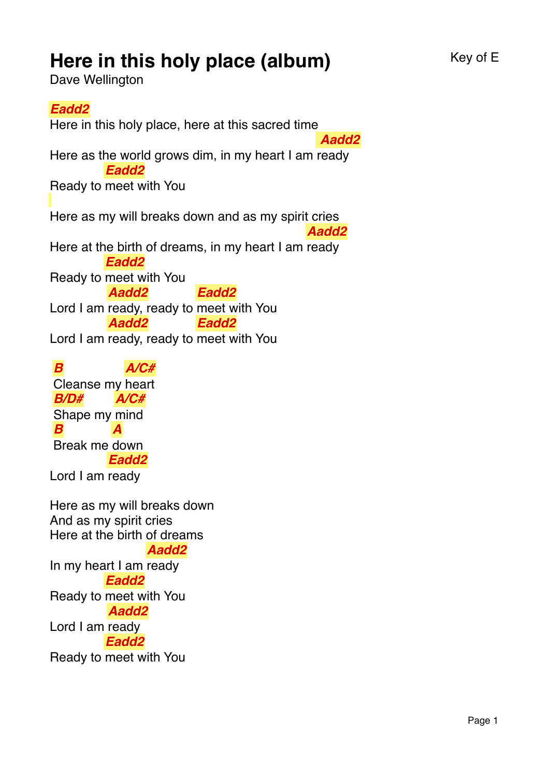## **Here in this holy place (album)** Key of E

Dave Wellington

## *Eadd2*

Here in this holy place, here at this sacred time Here as the world grows dim, in my heart I am ready  *Aadd2* Ready to meet with You *Eadd2* Here as my will breaks down and as my spirit cries Here at the birth of dreams, in my heart I am ready *Aadd2* Ready to meet with You *Eadd2* Lord I am ready, ready to meet with You *Aadd2 Eadd2* Lord I am ready, ready to meet with You *Aadd2 Eadd2 B* Cleanse my heart *A/C# B/D#* Shape my mind *A/C# B* Break me down *A* Lord I am ready *Eadd2* Here as my will breaks down And as my spirit cries Here at the birth of dreams In my heart I am ready *Aadd2* Ready to meet with You *Eadd2* Lord I am ready *Aadd2 Eadd2*

Ready to meet with You